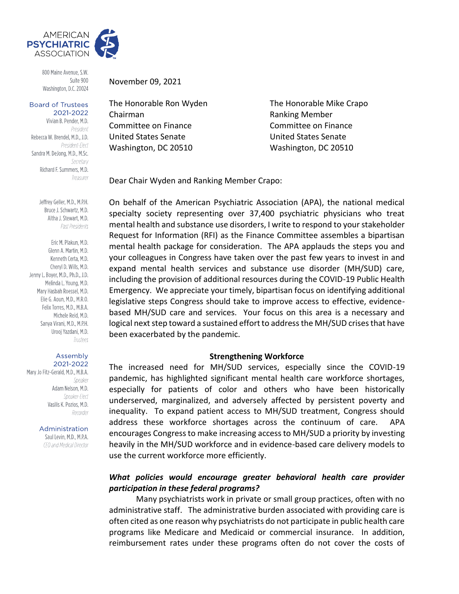

800 Maine Avenue, S.W. Suite 900 Washington, D.C. 20024

#### **Board of Trustees** 2021-2022

Vivian B. Pender, M.D. President Rebecca W. Brendel, M.D., J.D. President-Elect Sandra M. DeJong, M.D., M.Sc. Secretary Richard F. Summers, M.D. Treasurer

> Jeffrey Geller, M.D., M.P.H. Bruce J. Schwartz, M.D. Altha J. Stewart, M.D. Past Presidents

Eric M. Plakun, M.D. Glenn A. Martin, M.D. Kenneth Certa, M.D. Cheryl D. Wills, M.D. Jenny L. Boyer, M.D., Ph.D., J.D. Melinda L. Young, M.D. Mary Hasbah Roessel, M.D. Elie G. Aoun. M.D., M.R.O. Felix Torres, M.D., M.B.A. Michele Reid, M.D. Sanya Virani, M.D., M.P.H. Urooj Yazdani, M.D. Trustees

#### Assembly 2021-2022

Mary Jo Fitz-Gerald, M.D., M.B.A. Speaker Adam Nelson, M.D. Speaker-Flect Vasilis K. Pozios, M.D. Recorder

Administration

Saul Levin, M.D., M.P.A. CEO and Medical Director November 09, 2021

Chairman **Ranking Member** Committee on Finance Committee on Finance United States Senate United States Senate Washington, DC 20510 Washington, DC 20510

The Honorable Ron Wyden The Honorable Mike Crapo

Dear Chair Wyden and Ranking Member Crapo:

On behalf of the American Psychiatric Association (APA), the national medical specialty society representing over 37,400 psychiatric physicians who treat mental health and substance use disorders, I write to respond to your stakeholder Request for Information (RFI) as the Finance Committee assembles a bipartisan mental health package for consideration. The APA applauds the steps you and your colleagues in Congress have taken over the past few years to invest in and expand mental health services and substance use disorder (MH/SUD) care, including the provision of additional resources during the COVID-19 Public Health Emergency. We appreciate your timely, bipartisan focus on identifying additional legislative steps Congress should take to improve access to effective, evidencebased MH/SUD care and services. Your focus on this area is a necessary and logical next step toward a sustained effort to address the MH/SUD crises that have been exacerbated by the pandemic.

#### **Strengthening Workforce**

The increased need for MH/SUD services, especially since the COVID-19 pandemic, has highlighted significant mental health care workforce shortages, especially for patients of color and others who have been historically underserved, marginalized, and adversely affected by persistent poverty and inequality. To expand patient access to MH/SUD treatment, Congress should address these workforce shortages across the continuum of care. APA encourages Congress to make increasing access to MH/SUD a priority by investing heavily in the MH/SUD workforce and in evidence-based care delivery models to use the current workforce more efficiently.

## *What policies would encourage greater behavioral health care provider participation in these federal programs?*

Many psychiatrists work in private or small group practices, often with no administrative staff. The administrative burden associated with providing care is often cited as one reason why psychiatrists do not participate in public health care programs like Medicare and Medicaid or commercial insurance. In addition, reimbursement rates under these programs often do not cover the costs of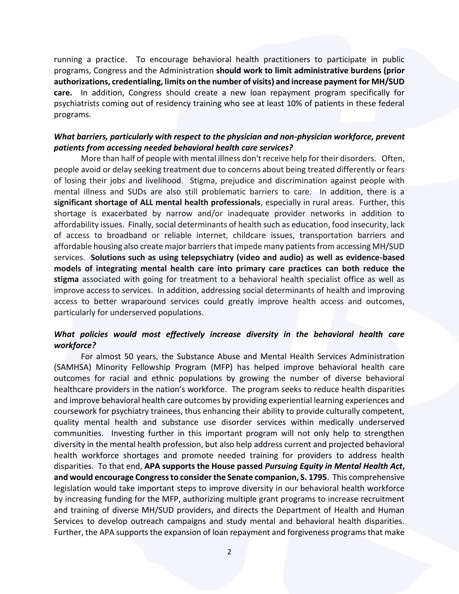running a practice. To encourage behavioral health practitioners to participate in public programs, Congress and the Administration **should work to limit administrative burdens (prior authorizations, credentialing, limits on the number of visits) and increase payment for MH/SUD care.** In addition, Congress should create a new loan repayment program specifically for psychiatrists coming out of residency training who see at least 10% of patients in these federal programs.

## *What barriers, particularly with respect to the physician and non-physician workforce, prevent patients from accessing needed behavioral health care services?*

More than half of people with mental illness don't receive help for their disorders. Often, people avoid or delay seeking treatment due to concerns about being treated differently or fears of losing their jobs and livelihood. Stigma, prejudice and discrimination against people with mental illness and SUDs are also still problematic barriers to care. In addition, there is a **significant shortage of ALL mental health professionals**, especially in rural areas. Further, this shortage is exacerbated by narrow and/or inadequate provider networks in addition to affordability issues. Finally, social determinants of health such as education, food insecurity, lack of access to broadband or reliable internet, childcare issues, transportation barriers and affordable housing also create major barriers that impede many patients from accessing MH/SUD services. **Solutions such as using telepsychiatry (video and audio) as well as evidence-based models of integrating mental health care into primary care practices can both reduce the stigma** associated with going for treatment to a behavioral health specialist office as well as improve access to services. In addition, addressing social determinants of health and improving access to better wraparound services could greatly improve health access and outcomes, particularly for underserved populations.

### *What policies would most effectively increase diversity in the behavioral health care workforce?*

For almost 50 years, the Substance Abuse and Mental Health Services Administration (SAMHSA) Minority Fellowship Program (MFP) has helped improve behavioral health care outcomes for racial and ethnic populations by growing the number of diverse behavioral healthcare providers in the nation's workforce. The program seeks to reduce health disparities and improve behavioral health care outcomes by providing experiential learning experiences and coursework for psychiatry trainees, thus enhancing their ability to provide culturally competent, quality mental health and substance use disorder services within medically underserved communities. Investing further in this important program will not only help to strengthen diversity in the mental health profession, but also help address current and projected behavioral health workforce shortages and promote needed training for providers to address health disparities. To that end, **APA supports the House passed** *Pursuing Equity in Mental Health Act***, and would encourage Congress to consider the Senate companion, S. 1795**. This comprehensive legislation would take important steps to improve diversity in our behavioral health workforce by increasing funding for the MFP, authorizing multiple grant programs to increase recruitment and training of diverse MH/SUD providers, and directs the Department of Health and Human Services to develop outreach campaigns and study mental and behavioral health disparities. Further, the APA supports the expansion of loan repayment and forgiveness programs that make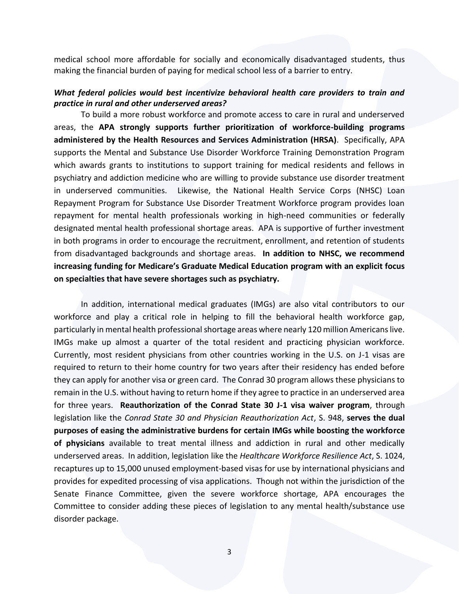medical school more affordable for socially and economically disadvantaged students, thus making the financial burden of paying for medical school less of a barrier to entry.

#### *What federal policies would best incentivize behavioral health care providers to train and practice in rural and other underserved areas?*

To build a more robust workforce and promote access to care in rural and underserved areas, the **APA strongly supports further prioritization of workforce-building programs administered by the Health Resources and Services Administration (HRSA)**. Specifically, APA supports the Mental and Substance Use Disorder Workforce Training Demonstration Program which awards grants to institutions to support training for medical residents and fellows in psychiatry and addiction medicine who are willing to provide substance use disorder treatment in underserved communities. Likewise, the National Health Service Corps (NHSC) Loan Repayment Program for Substance Use Disorder Treatment Workforce program provides loan repayment for mental health professionals working in high-need communities or federally designated mental health professional shortage areas. APA is supportive of further investment in both programs in order to encourage the recruitment, enrollment, and retention of students from disadvantaged backgrounds and shortage areas. **In addition to NHSC, we recommend increasing funding for Medicare's Graduate Medical Education program with an explicit focus on specialties that have severe shortages such as psychiatry.**

In addition, international medical graduates (IMGs) are also vital contributors to our workforce and play a critical role in helping to fill the behavioral health workforce gap, particularly in mental health professional shortage areas where nearly 120 million Americans live. IMGs make up almost a quarter of the total resident and practicing physician workforce. Currently, most resident physicians from other countries working in the U.S. on J-1 visas are required to return to their home country for two years after their residency has ended before they can apply for another visa or green card. The Conrad 30 program allows these physicians to remain in the U.S. without having to return home if they agree to practice in an underserved area for three years. **Reauthorization of the Conrad State 30 J-1 visa waiver program**, through legislation like the *Conrad State 30 and Physician Reauthorization Act*, S. 948, **serves the dual purposes of easing the administrative burdens for certain IMGs while boosting the workforce of physicians** available to treat mental illness and addiction in rural and other medically underserved areas. In addition, legislation like the *Healthcare Workforce Resilience Act*, S. 1024, recaptures up to 15,000 unused employment-based visas for use by international physicians and provides for expedited processing of visa applications. Though not within the jurisdiction of the Senate Finance Committee, given the severe workforce shortage, APA encourages the Committee to consider adding these pieces of legislation to any mental health/substance use disorder package.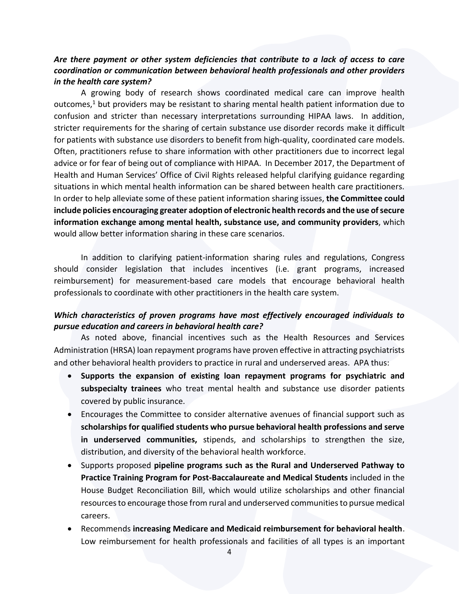## *Are there payment or other system deficiencies that contribute to a lack of access to care coordination or communication between behavioral health professionals and other providers in the health care system?*

A growing body of research shows coordinated medical care can improve health outcomes, $1$  but providers may be resistant to sharing mental health patient information due to confusion and stricter than necessary interpretations surrounding HIPAA laws. In addition, stricter requirements for the sharing of certain substance use disorder records make it difficult for patients with substance use disorders to benefit from high-quality, coordinated care models. Often, practitioners refuse to share information with other practitioners due to incorrect legal advice or for fear of being out of compliance with HIPAA. In December 2017, the Department of Health and Human Services' Office of Civil Rights released helpful clarifying guidance regarding situations in which mental health information can be shared between health care practitioners. In order to help alleviate some of these patient information sharing issues, **the Committee could include policies encouraging greater adoption of electronic health records and the use of secure information exchange among mental health, substance use, and community providers**, which would allow better information sharing in these care scenarios.

In addition to clarifying patient-information sharing rules and regulations, Congress should consider legislation that includes incentives (i.e. grant programs, increased reimbursement) for measurement-based care models that encourage behavioral health professionals to coordinate with other practitioners in the health care system.

## *Which characteristics of proven programs have most effectively encouraged individuals to pursue education and careers in behavioral health care?*

As noted above, financial incentives such as the Health Resources and Services Administration (HRSA) loan repayment programs have proven effective in attracting psychiatrists and other behavioral health providers to practice in rural and underserved areas. APA thus:

- **Supports the expansion of existing loan repayment programs for psychiatric and subspecialty trainees** who treat mental health and substance use disorder patients covered by public insurance.
- Encourages the Committee to consider alternative avenues of financial support such as **scholarships for qualified students who pursue behavioral health professions and serve in underserved communities,** stipends, and scholarships to strengthen the size, distribution, and diversity of the behavioral health workforce.
- Supports proposed **pipeline programs such as the Rural and Underserved Pathway to Practice Training Program for Post-Baccalaureate and Medical Students** included in the House Budget Reconciliation Bill, which would utilize scholarships and other financial resources to encourage those from rural and underserved communities to pursue medical careers.
- Recommends **increasing Medicare and Medicaid reimbursement for behavioral health**. Low reimbursement for health professionals and facilities of all types is an important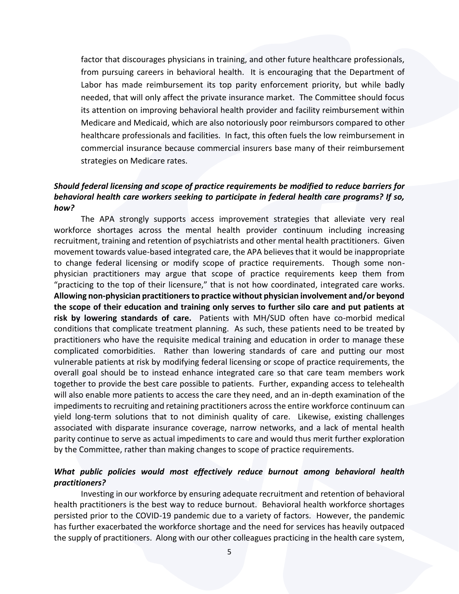factor that discourages physicians in training, and other future healthcare professionals, from pursuing careers in behavioral health. It is encouraging that the Department of Labor has made reimbursement its top parity enforcement priority, but while badly needed, that will only affect the private insurance market. The Committee should focus its attention on improving behavioral health provider and facility reimbursement within Medicare and Medicaid, which are also notoriously poor reimbursors compared to other healthcare professionals and facilities. In fact, this often fuels the low reimbursement in commercial insurance because commercial insurers base many of their reimbursement strategies on Medicare rates.

## *Should federal licensing and scope of practice requirements be modified to reduce barriers for behavioral health care workers seeking to participate in federal health care programs? If so, how?*

The APA strongly supports access improvement strategies that alleviate very real workforce shortages across the mental health provider continuum including increasing recruitment, training and retention of psychiatrists and other mental health practitioners. Given movement towards value-based integrated care, the APA believes that it would be inappropriate to change federal licensing or modify scope of practice requirements. Though some nonphysician practitioners may argue that scope of practice requirements keep them from "practicing to the top of their licensure," that is not how coordinated, integrated care works. **Allowing non-physician practitioners to practice without physician involvement and/or beyond the scope of their education and training only serves to further silo care and put patients at risk by lowering standards of care.** Patients with MH/SUD often have co-morbid medical conditions that complicate treatment planning. As such, these patients need to be treated by practitioners who have the requisite medical training and education in order to manage these complicated comorbidities. Rather than lowering standards of care and putting our most vulnerable patients at risk by modifying federal licensing or scope of practice requirements, the overall goal should be to instead enhance integrated care so that care team members work together to provide the best care possible to patients. Further, expanding access to telehealth will also enable more patients to access the care they need, and an in-depth examination of the impediments to recruiting and retaining practitioners across the entire workforce continuum can yield long-term solutions that to not diminish quality of care. Likewise, existing challenges associated with disparate insurance coverage, narrow networks, and a lack of mental health parity continue to serve as actual impediments to care and would thus merit further exploration by the Committee, rather than making changes to scope of practice requirements.

## *What public policies would most effectively reduce burnout among behavioral health practitioners?*

Investing in our workforce by ensuring adequate recruitment and retention of behavioral health practitioners is the best way to reduce burnout. Behavioral health workforce shortages persisted prior to the COVID-19 pandemic due to a variety of factors. However, the pandemic has further exacerbated the workforce shortage and the need for services has heavily outpaced the supply of practitioners. Along with our other colleagues practicing in the health care system,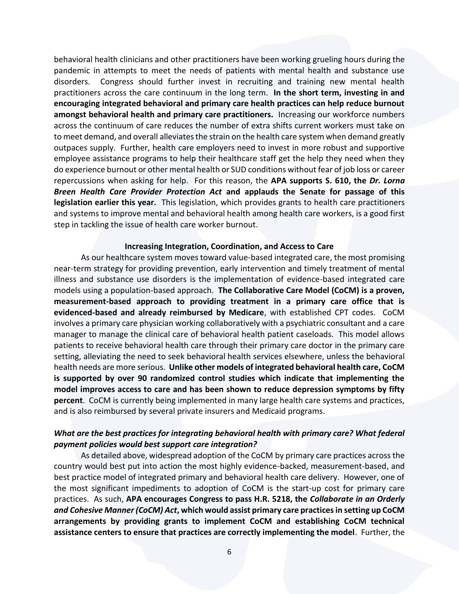behavioral health clinicians and other practitioners have been working grueling hours during the pandemic in attempts to meet the needs of patients with mental health and substance use disorders. Congress should further invest in recruiting and training new mental health practitioners across the care continuum in the long term. **In the short term, investing in and encouraging integrated behavioral and primary care health practices can help reduce burnout amongst behavioral health and primary care practitioners.** Increasing our workforce numbers across the continuum of care reduces the number of extra shifts current workers must take on to meet demand, and overall alleviates the strain on the health care system when demand greatly outpaces supply. Further, health care employers need to invest in more robust and supportive employee assistance programs to help their healthcare staff get the help they need when they do experience burnout or other mental health or SUD conditions without fear of job loss or career repercussions when asking for help. For this reason, the **APA supports S. 610, the** *Dr. Lorna Breen Health Care Provider Protection Act* **and applauds the Senate for passage of this legislation earlier this year.** This legislation, which provides grants to health care practitioners and systems to improve mental and behavioral health among health care workers, is a good first step in tackling the issue of health care worker burnout.

#### **Increasing Integration, Coordination, and Access to Care**

As our healthcare system moves toward value-based integrated care, the most promising near-term strategy for providing prevention, early intervention and timely treatment of mental illness and substance use disorders is the implementation of evidence-based integrated care models using a population-based approach. **The Collaborative Care Model (CoCM) is a proven, measurement-based approach to providing treatment in a primary care office that is evidenced-based and already reimbursed by Medicare**, with established CPT codes. CoCM involves a primary care physician working collaboratively with a psychiatric consultant and a care manager to manage the clinical care of behavioral health patient caseloads. This model allows patients to receive behavioral health care through their primary care doctor in the primary care setting, alleviating the need to seek behavioral health services elsewhere, unless the behavioral health needs are more serious. **Unlike other models of integrated behavioral health care, CoCM is supported by over 90 randomized control studies which indicate that implementing the model improves access to care and has been shown to reduce depression symptoms by fifty percent**. CoCM is currently being implemented in many large health care systems and practices, and is also reimbursed by several private insurers and Medicaid programs.

#### *What are the best practices for integrating behavioral health with primary care? What federal payment policies would best support care integration?*

As detailed above, widespread adoption of the CoCM by primary care practices across the country would best put into action the most highly evidence-backed, measurement-based, and best practice model of integrated primary and behavioral health care delivery. However, one of the most significant impediments to adoption of CoCM is the start-up cost for primary care practices. As such, **APA encourages Congress to pass H.R. 5218, the** *Collaborate in an Orderly and Cohesive Manner (CoCM) Act***, which would assist primary care practices in setting up CoCM arrangements by providing grants to implement CoCM and establishing CoCM technical assistance centers to ensure that practices are correctly implementing the model**. Further, the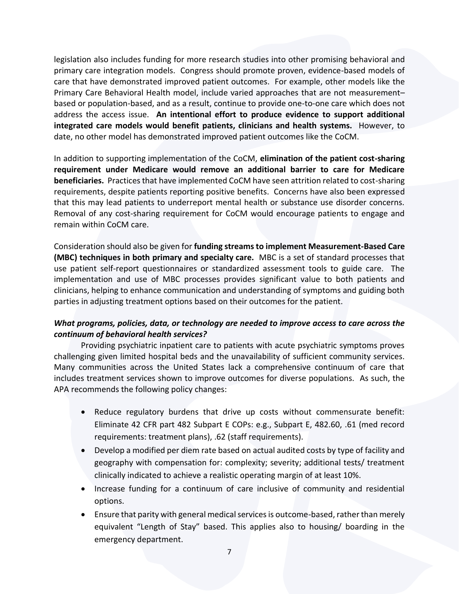legislation also includes funding for more research studies into other promising behavioral and primary care integration models. Congress should promote proven, evidence-based models of care that have demonstrated improved patient outcomes. For example, other models like the Primary Care Behavioral Health model, include varied approaches that are not measurement– based or population-based, and as a result, continue to provide one-to-one care which does not address the access issue. **An intentional effort to produce evidence to support additional integrated care models would benefit patients, clinicians and health systems.** However, to date, no other model has demonstrated improved patient outcomes like the CoCM.

In addition to supporting implementation of the CoCM, **elimination of the patient cost-sharing requirement under Medicare would remove an additional barrier to care for Medicare beneficiaries.** Practices that have implemented CoCM have seen attrition related to cost-sharing requirements, despite patients reporting positive benefits. Concerns have also been expressed that this may lead patients to underreport mental health or substance use disorder concerns. Removal of any cost-sharing requirement for CoCM would encourage patients to engage and remain within CoCM care.

Consideration should also be given for **funding streams to implement Measurement-Based Care (MBC) techniques in both primary and specialty care.** MBC is a set of standard processes that use patient self-report questionnaires or standardized assessment tools to guide care. The implementation and use of MBC processes provides significant value to both patients and clinicians, helping to enhance communication and understanding of symptoms and guiding both parties in adjusting treatment options based on their outcomes for the patient.

# *What programs, policies, data, or technology are needed to improve access to care across the continuum of behavioral health services?*

Providing psychiatric inpatient care to patients with acute psychiatric symptoms proves challenging given limited hospital beds and the unavailability of sufficient community services. Many communities across the United States lack a comprehensive continuum of care that includes treatment services shown to improve outcomes for diverse populations. As such, the APA recommends the following policy changes:

- Reduce regulatory burdens that drive up costs without commensurate benefit: Eliminate 42 CFR part 482 Subpart E COPs: e.g., Subpart E, 482.60, .61 (med record requirements: treatment plans), .62 (staff requirements).
- Develop a modified per diem rate based on actual audited costs by type of facility and geography with compensation for: complexity; severity; additional tests/ treatment clinically indicated to achieve a realistic operating margin of at least 10%.
- Increase funding for a continuum of care inclusive of community and residential options.
- Ensure that parity with general medical services is outcome-based, rather than merely equivalent "Length of Stay" based. This applies also to housing/ boarding in the emergency department.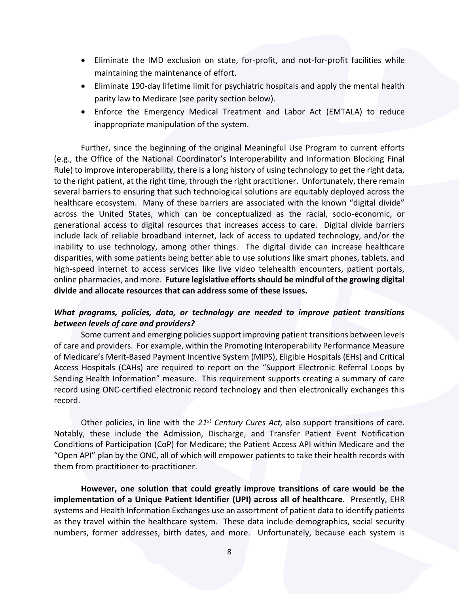- Eliminate the IMD exclusion on state, for-profit, and not-for-profit facilities while maintaining the maintenance of effort.
- Eliminate 190-day lifetime limit for psychiatric hospitals and apply the mental health parity law to Medicare (see parity section below).
- Enforce the Emergency Medical Treatment and Labor Act (EMTALA) to reduce inappropriate manipulation of the system.

Further, since the beginning of the original Meaningful Use Program to current efforts (e.g., the Office of the National Coordinator's Interoperability and Information Blocking Final Rule) to improve interoperability, there is a long history of using technology to get the right data, to the right patient, at the right time, through the right practitioner. Unfortunately, there remain several barriers to ensuring that such technological solutions are equitably deployed across the healthcare ecosystem. Many of these barriers are associated with the known "digital divide" across the United States, which can be conceptualized as the racial, socio-economic, or generational access to digital resources that increases access to care. Digital divide barriers include lack of reliable broadband internet, lack of access to updated technology, and/or the inability to use technology, among other things. The digital divide can increase healthcare disparities, with some patients being better able to use solutions like smart phones, tablets, and high-speed internet to access services like live video telehealth encounters, patient portals, online pharmacies, and more. **Future legislative efforts should be mindful of the growing digital divide and allocate resources that can address some of these issues.**

### *What programs, policies, data, or technology are needed to improve patient transitions between levels of care and providers?*

Some current and emerging policies support improving patient transitions between levels of care and providers. For example, within the Promoting Interoperability Performance Measure of Medicare's Merit-Based Payment Incentive System (MIPS), Eligible Hospitals (EHs) and Critical Access Hospitals (CAHs) are required to report on the "Support Electronic Referral Loops by Sending Health Information" measure. This requirement supports creating a summary of care record using ONC-certified electronic record technology and then electronically exchanges this record.

Other policies, in line with the *21st Century Cures Act,* also support transitions of care. Notably, these include the Admission, Discharge, and Transfer Patient Event Notification Conditions of Participation (CoP) for Medicare; the Patient Access API within Medicare and the "Open API" plan by the ONC, all of which will empower patients to take their health records with them from practitioner-to-practitioner.

**However, one solution that could greatly improve transitions of care would be the implementation of a Unique Patient Identifier (UPI) across all of healthcare.** Presently, EHR systems and Health Information Exchanges use an assortment of patient data to identify patients as they travel within the healthcare system. These data include demographics, social security numbers, former addresses, birth dates, and more. Unfortunately, because each system is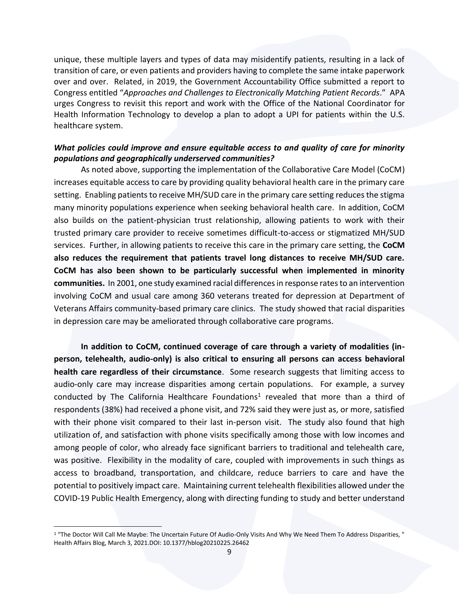unique, these multiple layers and types of data may misidentify patients, resulting in a lack of transition of care, or even patients and providers having to complete the same intake paperwork over and over. Related, in 2019, the Government Accountability Office submitted a report to Congress entitled "*Approaches and Challenges to Electronically Matching Patient Records*." APA urges Congress to revisit this report and work with the Office of the National Coordinator for Health Information Technology to develop a plan to adopt a UPI for patients within the U.S. healthcare system.

## *What policies could improve and ensure equitable access to and quality of care for minority populations and geographically underserved communities?*

As noted above, supporting the implementation of the Collaborative Care Model (CoCM) increases equitable access to care by providing quality behavioral health care in the primary care setting. Enabling patients to receive MH/SUD care in the primary care setting reduces the stigma many minority populations experience when seeking behavioral health care. In addition, CoCM also builds on the patient-physician trust relationship, allowing patients to work with their trusted primary care provider to receive sometimes difficult-to-access or stigmatized MH/SUD services. Further, in allowing patients to receive this care in the primary care setting, the **CoCM also reduces the requirement that patients travel long distances to receive MH/SUD care. CoCM has also been shown to be particularly successful when implemented in minority communities.** In 2001, one study examined racial differences in response rates to an intervention involving CoCM and usual care among 360 veterans treated for depression at Department of Veterans Affairs community-based primary care clinics. The study showed that racial disparities in depression care may be ameliorated through collaborative care programs.

**In addition to CoCM, continued coverage of care through a variety of modalities (inperson, telehealth, audio-only) is also critical to ensuring all persons can access behavioral health care regardless of their circumstance**. Some research suggests that limiting access to audio-only care may increase disparities among certain populations. For example, a survey conducted by The California Healthcare Foundations<sup>1</sup> revealed that more than a third of respondents (38%) had received a phone visit, and 72% said they were just as, or more, satisfied with their phone visit compared to their last in-person visit. The study also found that high utilization of, and satisfaction with phone visits specifically among those with low incomes and among people of color, who already face significant barriers to traditional and telehealth care, was positive. Flexibility in the modality of care, coupled with improvements in such things as access to broadband, transportation, and childcare, reduce barriers to care and have the potential to positively impact care. Maintaining current telehealth flexibilities allowed under the COVID-19 Public Health Emergency, along with directing funding to study and better understand

<sup>&</sup>lt;sup>1</sup> "The Doctor Will Call Me Maybe: The Uncertain Future Of Audio-Only Visits And Why We Need Them To Address Disparities, " Health Affairs Blog, March 3, 2021.DOI: 10.1377/hblog20210225.26462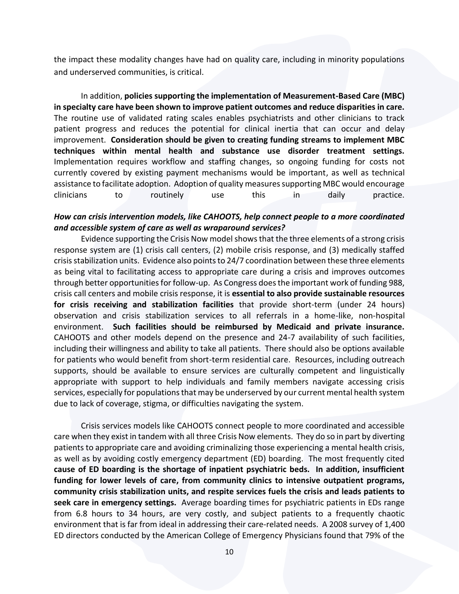the impact these modality changes have had on quality care, including in minority populations and underserved communities, is critical.

In addition, **policies supporting the implementation of Measurement-Based Care (MBC) in specialty care have been shown to improve patient outcomes and reduce disparities in care.** The routine use of validated rating scales enables psychiatrists and other clinicians to track patient progress and reduces the potential for clinical inertia that can occur and delay improvement. **Consideration should be given to creating funding streams to implement MBC techniques within mental health and substance use disorder treatment settings.** Implementation requires workflow and staffing changes, so ongoing funding for costs not currently covered by existing payment mechanisms would be important, as well as technical assistance to facilitate adoption. Adoption of quality measures supporting MBC would encourage clinicians to routinely use this in daily practice.

### *How can crisis intervention models, like CAHOOTS, help connect people to a more coordinated and accessible system of care as well as wraparound services?*

Evidence supporting the Crisis Now model shows that the three elements of a strong crisis response system are (1) crisis call centers, (2) mobile crisis response, and (3) medically staffed crisis stabilization units. Evidence also points to 24/7 coordination between these three elements as being vital to facilitating access to appropriate care during a crisis and improves outcomes through better opportunities for follow-up. As Congress does the important work of funding 988, crisis call centers and mobile crisis response, it is **essential to also provide sustainable resources for crisis receiving and stabilization facilities** that provide short-term (under 24 hours) observation and crisis stabilization services to all referrals in a home-like, non-hospital environment. **Such facilities should be reimbursed by Medicaid and private insurance.**  CAHOOTS and other models depend on the presence and 24-7 availability of such facilities, including their willingness and ability to take all patients. There should also be options available for patients who would benefit from short-term residential care. Resources, including outreach supports, should be available to ensure services are culturally competent and linguistically appropriate with support to help individuals and family members navigate accessing crisis services, especially for populations that may be underserved by our current mental health system due to lack of coverage, stigma, or difficulties navigating the system.

Crisis services models like CAHOOTS connect people to more coordinated and accessible care when they exist in tandem with all three Crisis Now elements. They do so in part by diverting patients to appropriate care and avoiding criminalizing those experiencing a mental health crisis, as well as by avoiding costly emergency department (ED) boarding. The most frequently cited **cause of ED boarding is the shortage of inpatient psychiatric beds. In addition, insufficient funding for lower levels of care, from community clinics to intensive outpatient programs, community crisis stabilization units, and respite services fuels the crisis and leads patients to seek care in emergency settings.** Average boarding times for psychiatric patients in EDs range from 6.8 hours to 34 hours, are very costly, and subject patients to a frequently chaotic environment that is far from ideal in addressing their care-related needs. A 2008 survey of 1,400 ED directors conducted by the American College of Emergency Physicians found that 79% of the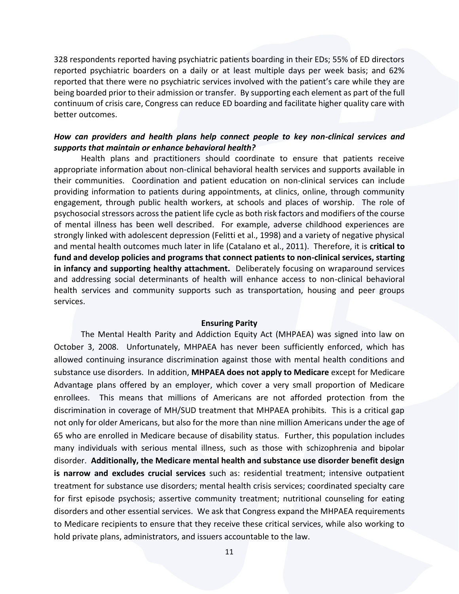328 respondents reported having psychiatric patients boarding in their EDs; 55% of ED directors reported psychiatric boarders on a daily or at least multiple days per week basis; and 62% reported that there were no psychiatric services involved with the patient's care while they are being boarded prior to their admission or transfer. By supporting each element as part of the full continuum of crisis care, Congress can reduce ED boarding and facilitate higher quality care with better outcomes.

#### *How can providers and health plans help connect people to key non-clinical services and supports that maintain or enhance behavioral health?*

Health plans and practitioners should coordinate to ensure that patients receive appropriate information about non-clinical behavioral health services and supports available in their communities. Coordination and patient education on non-clinical services can include providing information to patients during appointments, at clinics, online, through community engagement, through public health workers, at schools and places of worship. The role of psychosocial stressors across the patient life cycle as both risk factors and modifiers of the course of mental illness has been well described. For example, adverse childhood experiences are strongly linked with adolescent depression (Felitti et al., 1998) and a variety of negative physical and mental health outcomes much later in life (Catalano et al., 2011). Therefore, it is **critical to fund and develop policies and programs that connect patients to non-clinical services, starting in infancy and supporting healthy attachment.** Deliberately focusing on wraparound services and addressing social determinants of health will enhance access to non-clinical behavioral health services and community supports such as transportation, housing and peer groups services.

#### **Ensuring Parity**

The Mental Health Parity and Addiction Equity Act (MHPAEA) was signed into law on October 3, 2008. Unfortunately, MHPAEA has never been sufficiently enforced, which has allowed continuing insurance discrimination against those with mental health conditions and substance use disorders. In addition, **MHPAEA does not apply to Medicare** except for Medicare Advantage plans offered by an employer, which cover a very small proportion of Medicare enrollees. This means that millions of Americans are not afforded protection from the discrimination in coverage of MH/SUD treatment that MHPAEA prohibits. This is a critical gap not only for older Americans, but also for the more than nine million Americans under the age of 65 who are enrolled in Medicare because of disability status. Further, this population includes many individuals with serious mental illness, such as those with schizophrenia and bipolar disorder. **Additionally, the Medicare mental health and substance use disorder benefit design is narrow and excludes crucial services** such as: residential treatment; intensive outpatient treatment for substance use disorders; mental health crisis services; coordinated specialty care for first episode psychosis; assertive community treatment; nutritional counseling for eating disorders and other essential services. We ask that Congress expand the MHPAEA requirements to Medicare recipients to ensure that they receive these critical services, while also working to hold private plans, administrators, and issuers accountable to the law.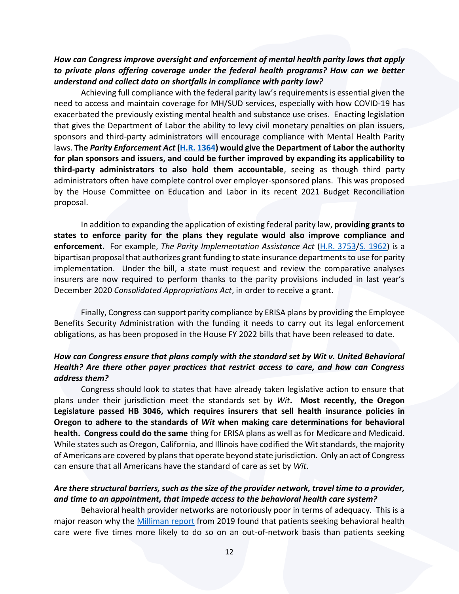## *How can Congress improve oversight and enforcement of mental health parity laws that apply to private plans offering coverage under the federal health programs? How can we better understand and collect data on shortfalls in compliance with parity law?*

Achieving full compliance with the federal parity law's requirements is essential given the need to access and maintain coverage for MH/SUD services, especially with how COVID-19 has exacerbated the previously existing mental health and substance use crises. Enacting legislation that gives the Department of Labor the ability to levy civil monetary penalties on plan issuers, sponsors and third-party administrators will encourage compliance with Mental Health Parity laws. **The** *Parity Enforcement Act* **[\(H.R. 1364\)](https://www.congress.gov/bill/117th-congress/house-bill/1364?q=%7B%22search%22%3A%5B%22Hr1364%22%2C%22Hr1364%22%5D%7D&s=2&r=1) would give the Department of Labor the authority for plan sponsors and issuers, and could be further improved by expanding its applicability to third-party administrators to also hold them accountable**, seeing as though third party administrators often have complete control over employer-sponsored plans. This was proposed by the House Committee on Education and Labor in its recent 2021 Budget Reconciliation proposal.

In addition to expanding the application of existing federal parity law, **providing grants to states to enforce parity for the plans they regulate would also improve compliance and enforcement.** For example, *The Parity Implementation Assistance Act* [\(H.R. 3753](https://www.congress.gov/bill/117th-congress/house-bill/3753/text?r=1&s=1)[/S. 1962\)](https://www.congress.gov/bill/117th-congress/senate-bill/1962) is a bipartisan proposal that authorizes grant funding to state insurance departments to use for parity implementation. Under the bill, a state must request and review the comparative analyses insurers are now required to perform thanks to the parity provisions included in last year's December 2020 *Consolidated Appropriations Act*, in order to receive a grant.

Finally, Congress can support parity compliance by ERISA plans by providing the Employee Benefits Security Administration with the funding it needs to carry out its legal enforcement obligations, as has been proposed in the House FY 2022 bills that have been released to date.

## *How can Congress ensure that plans comply with the standard set by Wit v. United Behavioral Health? Are there other payer practices that restrict access to care, and how can Congress address them?*

Congress should look to states that have already taken legislative action to ensure that plans under their jurisdiction meet the standards set by *Wit***. Most recently, the Oregon Legislature passed HB 3046, which requires insurers that sell health insurance policies in Oregon to adhere to the standards of** *Wit* **when making care determinations for behavioral health. Congress could do the same** thing for ERISA plans as well as for Medicare and Medicaid. While states such as Oregon, California, and Illinois have codified the Wit standards, the majority of Americans are covered by plans that operate beyond state jurisdiction. Only an act of Congress can ensure that all Americans have the standard of care as set by *Wit*.

## *Are there structural barriers, such as the size of the provider network, travel time to a provider, and time to an appointment, that impede access to the behavioral health care system?*

Behavioral health provider networks are notoriously poor in terms of adequacy. This is a major reason why the [Milliman report](https://www.milliman.com/-/media/milliman/importedfiles/ektron/addictionandmentalhealthvsphysicalhealthwideningdisparitiesinnetworkuseandproviderreimbursement.ashx) from 2019 found that patients seeking behavioral health care were five times more likely to do so on an out-of-network basis than patients seeking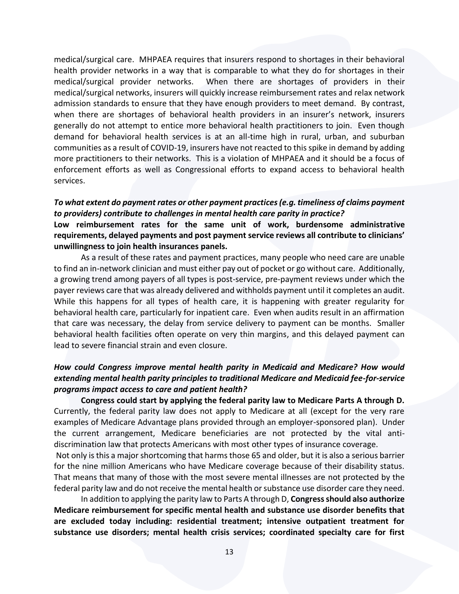medical/surgical care. MHPAEA requires that insurers respond to shortages in their behavioral health provider networks in a way that is comparable to what they do for shortages in their medical/surgical provider networks. When there are shortages of providers in their medical/surgical networks, insurers will quickly increase reimbursement rates and relax network admission standards to ensure that they have enough providers to meet demand. By contrast, when there are shortages of behavioral health providers in an insurer's network, insurers generally do not attempt to entice more behavioral health practitioners to join. Even though demand for behavioral health services is at an all-time high in rural, urban, and suburban communities as a result of COVID-19, insurers have not reacted to this spike in demand by adding more practitioners to their networks. This is a violation of MHPAEA and it should be a focus of enforcement efforts as well as Congressional efforts to expand access to behavioral health services.

#### *To what extent do payment rates or other payment practices (e.g. timeliness of claims payment to providers) contribute to challenges in mental health care parity in practice?*

**Low reimbursement rates for the same unit of work, burdensome administrative requirements, delayed payments and post payment service reviews all contribute to clinicians' unwillingness to join health insurances panels.** 

As a result of these rates and payment practices, many people who need care are unable to find an in-network clinician and must either pay out of pocket or go without care. Additionally, a growing trend among payers of all types is post-service, pre-payment reviews under which the payer reviews care that was already delivered and withholds payment until it completes an audit. While this happens for all types of health care, it is happening with greater regularity for behavioral health care, particularly for inpatient care. Even when audits result in an affirmation that care was necessary, the delay from service delivery to payment can be months. Smaller behavioral health facilities often operate on very thin margins, and this delayed payment can lead to severe financial strain and even closure.

## *How could Congress improve mental health parity in Medicaid and Medicare? How would extending mental health parity principles to traditional Medicare and Medicaid fee-for-service programs impact access to care and patient health?*

**Congress could start by applying the federal parity law to Medicare Parts A through D.** Currently, the federal parity law does not apply to Medicare at all (except for the very rare examples of Medicare Advantage plans provided through an employer-sponsored plan). Under the current arrangement, Medicare beneficiaries are not protected by the vital antidiscrimination law that protects Americans with most other types of insurance coverage.

Not only isthis a major shortcoming that harms those 65 and older, but it is also a serious barrier for the nine million Americans who have Medicare coverage because of their disability status. That means that many of those with the most severe mental illnesses are not protected by the federal parity law and do not receive the mental health or substance use disorder care they need.

In addition to applying the parity law to Parts A through D, **Congress should also authorize Medicare reimbursement for specific mental health and substance use disorder benefits that are excluded today including: residential treatment; intensive outpatient treatment for substance use disorders; mental health crisis services; coordinated specialty care for first**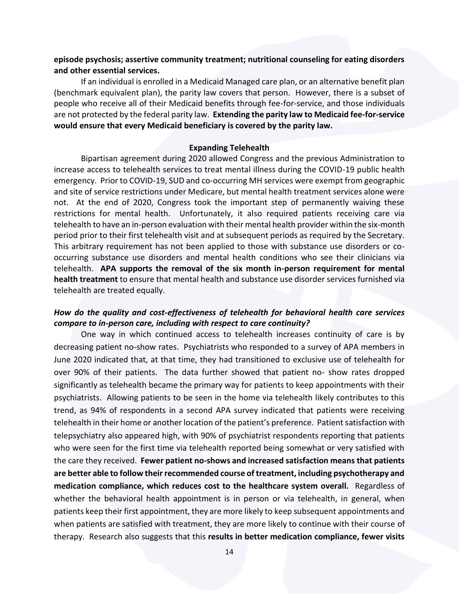#### **episode psychosis; assertive community treatment; nutritional counseling for eating disorders and other essential services.**

If an individual is enrolled in a Medicaid Managed care plan, or an alternative benefit plan (benchmark equivalent plan), the parity law covers that person. However, there is a subset of people who receive all of their Medicaid benefits through fee-for-service, and those individuals are not protected by the federal parity law. **Extending the parity law to Medicaid fee-for-service would ensure that every Medicaid beneficiary is covered by the parity law.**

#### **Expanding Telehealth**

Bipartisan agreement during 2020 allowed Congress and the previous Administration to increase access to telehealth services to treat mental illness during the COVID-19 public health emergency. Prior to COVID-19, SUD and co-occurring MH services were exempt from geographic and site of service restrictions under Medicare, but mental health treatment services alone were not. At the end of 2020, Congress took the important step of permanently waiving these restrictions for mental health. Unfortunately, it also required patients receiving care via telehealth to have an in-person evaluation with their mental health provider within the six-month period prior to their first telehealth visit and at subsequent periods as required by the Secretary. This arbitrary requirement has not been applied to those with substance use disorders or cooccurring substance use disorders and mental health conditions who see their clinicians via telehealth. **APA supports the removal of the six month in-person requirement for mental health treatment** to ensure that mental health and substance use disorder services furnished via telehealth are treated equally.

#### *How do the quality and cost-effectiveness of telehealth for behavioral health care services compare to in-person care, including with respect to care continuity?*

One way in which continued access to telehealth increases continuity of care is by decreasing patient no-show rates. Psychiatrists who responded to a survey of APA members in June 2020 indicated that, at that time, they had transitioned to exclusive use of telehealth for over 90% of their patients. The data further showed that patient no- show rates dropped significantly as telehealth became the primary way for patients to keep appointments with their psychiatrists. Allowing patients to be seen in the home via telehealth likely contributes to this trend, as 94% of respondents in a second APA survey indicated that patients were receiving telehealth in their home or another location of the patient's preference. Patient satisfaction with telepsychiatry also appeared high, with 90% of psychiatrist respondents reporting that patients who were seen for the first time via telehealth reported being somewhat or very satisfied with the care they received. **Fewer patient no-shows and increased satisfaction means that patients are better able to follow their recommended course of treatment, including psychotherapy and medication compliance, which reduces cost to the healthcare system overall.** Regardless of whether the behavioral health appointment is in person or via telehealth, in general, when patients keep their first appointment, they are more likely to keep subsequent appointments and when patients are satisfied with treatment, they are more likely to continue with their course of therapy. Research also suggests that this **results in better medication compliance, fewer visits**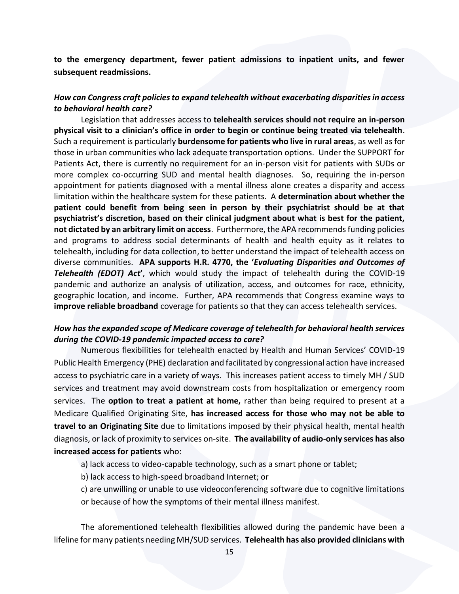**to the emergency department, fewer patient admissions to inpatient units, and fewer subsequent readmissions.**

#### *How can Congress craft policies to expand telehealth without exacerbating disparities in access to behavioral health care?*

Legislation that addresses access to **telehealth services should not require an in-person physical visit to a clinician's office in order to begin or continue being treated via telehealth**. Such a requirement is particularly **burdensome for patients who live in rural areas**, as well as for those in urban communities who lack adequate transportation options. Under the SUPPORT for Patients Act, there is currently no requirement for an in-person visit for patients with SUDs or more complex co-occurring SUD and mental health diagnoses. So, requiring the in-person appointment for patients diagnosed with a mental illness alone creates a disparity and access limitation within the healthcare system for these patients. A **determination about whether the patient could benefit from being seen in person by their psychiatrist should be at that psychiatrist's discretion, based on their clinical judgment about what is best for the patient, not dictated by an arbitrary limit on access**. Furthermore, the APA recommends funding policies and programs to address social determinants of health and health equity as it relates to telehealth, including for data collection, to better understand the impact of telehealth access on diverse communities. **APA supports H.R. 4770, the '***Evaluating Disparities and Outcomes of Telehealth (EDOT) Act***'**, which would study the impact of telehealth during the COVID-19 pandemic and authorize an analysis of utilization, access, and outcomes for race, ethnicity, geographic location, and income. Further, APA recommends that Congress examine ways to **improve reliable broadband** coverage for patients so that they can access telehealth services.

#### *How has the expanded scope of Medicare coverage of telehealth for behavioral health services during the COVID-19 pandemic impacted access to care?*

Numerous flexibilities for telehealth enacted by Health and Human Services' COVID-19 Public Health Emergency (PHE) declaration and facilitated by congressional action have increased access to psychiatric care in a variety of ways. This increases patient access to timely MH / SUD services and treatment may avoid downstream costs from hospitalization or emergency room services. The **option to treat a patient at home,** rather than being required to present at a Medicare Qualified Originating Site, **has increased access for those who may not be able to travel to an Originating Site** due to limitations imposed by their physical health, mental health diagnosis, or lack of proximity to services on-site. **The availability of audio-only services has also increased access for patients** who:

- a) lack access to video-capable technology, such as a smart phone or tablet;
- b) lack access to high-speed broadband Internet; or
- c) are unwilling or unable to use videoconferencing software due to cognitive limitations or because of how the symptoms of their mental illness manifest.

The aforementioned telehealth flexibilities allowed during the pandemic have been a lifeline for many patients needing MH/SUD services. **Telehealth has also provided clinicians with**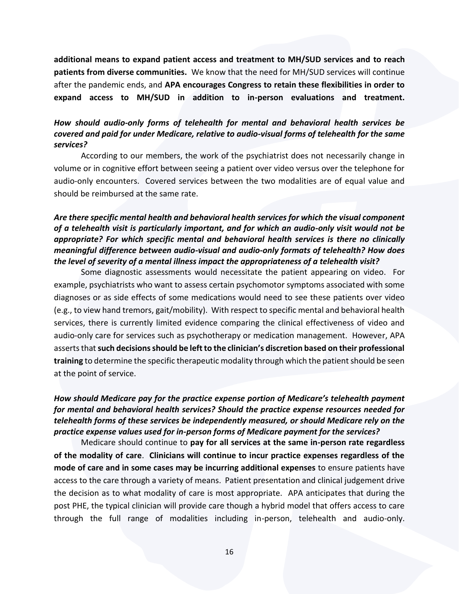**additional means to expand patient access and treatment to MH/SUD services and to reach patients from diverse communities.** We know that the need for MH/SUD services will continue after the pandemic ends, and **APA encourages Congress to retain these flexibilities in order to expand access to MH/SUD in addition to in-person evaluations and treatment.**

## *How should audio-only forms of telehealth for mental and behavioral health services be covered and paid for under Medicare, relative to audio-visual forms of telehealth for the same services?*

According to our members, the work of the psychiatrist does not necessarily change in volume or in cognitive effort between seeing a patient over video versus over the telephone for audio-only encounters. Covered services between the two modalities are of equal value and should be reimbursed at the same rate.

## *Are there specific mental health and behavioral health services for which the visual component of a telehealth visit is particularly important, and for which an audio-only visit would not be appropriate? For which specific mental and behavioral health services is there no clinically meaningful difference between audio-visual and audio-only formats of telehealth? How does the level of severity of a mental illness impact the appropriateness of a telehealth visit?*

Some diagnostic assessments would necessitate the patient appearing on video. For example, psychiatrists who want to assess certain psychomotor symptoms associated with some diagnoses or as side effects of some medications would need to see these patients over video (e.g., to view hand tremors, gait/mobility). With respect to specific mental and behavioral health services, there is currently limited evidence comparing the clinical effectiveness of video and audio-only care for services such as psychotherapy or medication management. However, APA asserts that **such decisions should be left to the clinician's discretion based on their professional training** to determine the specific therapeutic modality through which the patient should be seen at the point of service.

## *How should Medicare pay for the practice expense portion of Medicare's telehealth payment for mental and behavioral health services? Should the practice expense resources needed for telehealth forms of these services be independently measured, or should Medicare rely on the practice expense values used for in-person forms of Medicare payment for the services?*

Medicare should continue to **pay for all services at the same in-person rate regardless of the modality of care**. **Clinicians will continue to incur practice expenses regardless of the mode of care and in some cases may be incurring additional expenses** to ensure patients have access to the care through a variety of means. Patient presentation and clinical judgement drive the decision as to what modality of care is most appropriate. APA anticipates that during the post PHE, the typical clinician will provide care though a hybrid model that offers access to care through the full range of modalities including in-person, telehealth and audio-only.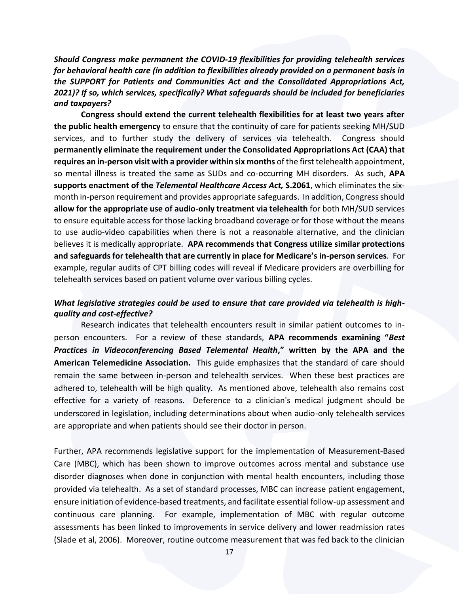*Should Congress make permanent the COVID-19 flexibilities for providing telehealth services for behavioral health care (in addition to flexibilities already provided on a permanent basis in the SUPPORT for Patients and Communities Act and the Consolidated Appropriations Act, 2021)? If so, which services, specifically? What safeguards should be included for beneficiaries and taxpayers?* 

**Congress should extend the current telehealth flexibilities for at least two years after the public health emergency** to ensure that the continuity of care for patients seeking MH/SUD services, and to further study the delivery of services via telehealth. Congress should **permanently eliminate the requirement under the Consolidated Appropriations Act (CAA) that requires an in-person visit with a provider within six months** of the first telehealth appointment, so mental illness is treated the same as SUDs and co-occurring MH disorders. As such, **APA supports enactment of the** *Telemental Healthcare Access Act,* **S.2061**, which eliminates the sixmonth in-person requirement and provides appropriate safeguards. In addition, Congress should **allow for the appropriate use of audio-only treatment via telehealth** for both MH/SUD services to ensure equitable access for those lacking broadband coverage or for those without the means to use audio-video capabilities when there is not a reasonable alternative, and the clinician believes it is medically appropriate. **APA recommends that Congress utilize similar protections and safeguards for telehealth that are currently in place for Medicare's in-person services**. For example, regular audits of CPT billing codes will reveal if Medicare providers are overbilling for telehealth services based on patient volume over various billing cycles.

#### *What legislative strategies could be used to ensure that care provided via telehealth is highquality and cost-effective?*

Research indicates that telehealth encounters result in similar patient outcomes to inperson encounters. For a review of these standards, **APA recommends examining "***Best Practices in Videoconferencing Based Telemental Health***," written by the APA and the American Telemedicine Association.** This guide emphasizes that the standard of care should remain the same between in-person and telehealth services. When these best practices are adhered to, telehealth will be high quality. As mentioned above, telehealth also remains cost effective for a variety of reasons. Deference to a clinician's medical judgment should be underscored in legislation, including determinations about when audio-only telehealth services are appropriate and when patients should see their doctor in person.

Further, APA recommends legislative support for the implementation of Measurement-Based Care (MBC), which has been shown to improve outcomes across mental and substance use disorder diagnoses when done in conjunction with mental health encounters, including those provided via telehealth. As a set of standard processes, MBC can increase patient engagement, ensure initiation of evidence-based treatments, and facilitate essential follow-up assessment and continuous care planning. For example, implementation of MBC with regular outcome assessments has been linked to improvements in service delivery and lower readmission rates (Slade et al, 2006). Moreover, routine outcome measurement that was fed back to the clinician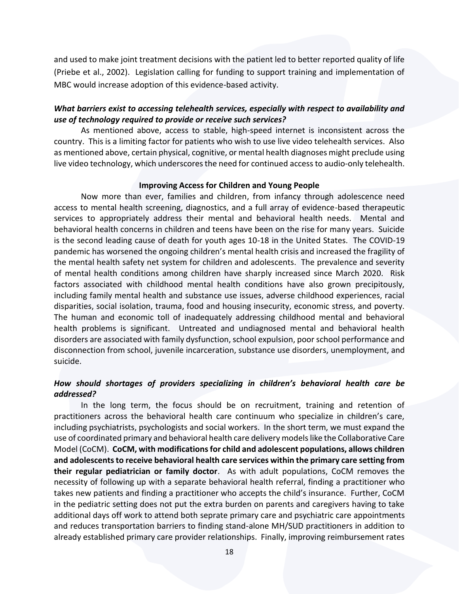and used to make joint treatment decisions with the patient led to better reported quality of life (Priebe et al., 2002). Legislation calling for funding to support training and implementation of MBC would increase adoption of this evidence-based activity.

#### *What barriers exist to accessing telehealth services, especially with respect to availability and use of technology required to provide or receive such services?*

As mentioned above, access to stable, high-speed internet is inconsistent across the country. This is a limiting factor for patients who wish to use live video telehealth services. Also as mentioned above, certain physical, cognitive, or mental health diagnoses might preclude using live video technology, which underscores the need for continued access to audio-only telehealth.

#### **Improving Access for Children and Young People**

Now more than ever, families and children, from infancy through adolescence need access to mental health screening, diagnostics, and a full array of evidence-based therapeutic services to appropriately address their mental and behavioral health needs. Mental and behavioral health concerns in children and teens have been on the rise for many years. Suicide is the second leading cause of death for youth ages 10-18 in the United States. The COVID-19 pandemic has worsened the ongoing children's mental health crisis and increased the fragility of the mental health safety net system for children and adolescents. The prevalence and severity of mental health conditions among children have sharply increased since March 2020. Risk factors associated with childhood mental health conditions have also grown precipitously, including family mental health and substance use issues, adverse childhood experiences, racial disparities, social isolation, trauma, food and housing insecurity, economic stress, and poverty. The human and economic toll of inadequately addressing childhood mental and behavioral health problems is significant. Untreated and undiagnosed mental and behavioral health disorders are associated with family dysfunction, school expulsion, poor school performance and disconnection from school, juvenile incarceration, substance use disorders, unemployment, and suicide.

## *How should shortages of providers specializing in children's behavioral health care be addressed?*

In the long term, the focus should be on recruitment, training and retention of practitioners across the behavioral health care continuum who specialize in children's care, including psychiatrists, psychologists and social workers. In the short term, we must expand the use of coordinated primary and behavioral health care delivery models like the Collaborative Care Model (CoCM). **CoCM, with modifications for child and adolescent populations, allows children and adolescents to receive behavioral health care services within the primary care setting from their regular pediatrician or family doctor**. As with adult populations, CoCM removes the necessity of following up with a separate behavioral health referral, finding a practitioner who takes new patients and finding a practitioner who accepts the child's insurance. Further, CoCM in the pediatric setting does not put the extra burden on parents and caregivers having to take additional days off work to attend both seprate primary care and psychiatric care appointments and reduces transportation barriers to finding stand-alone MH/SUD practitioners in addition to already established primary care provider relationships. Finally, improving reimbursement rates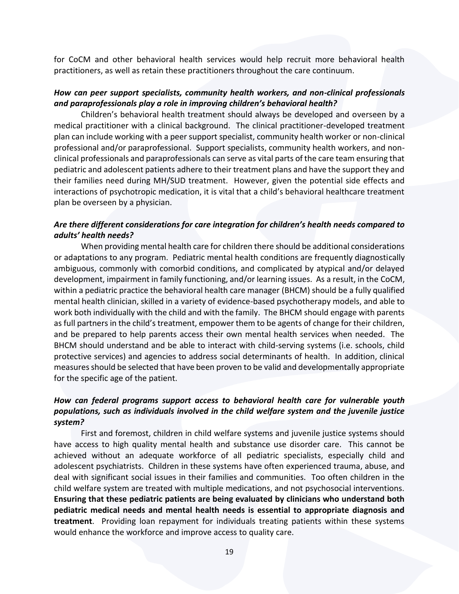for CoCM and other behavioral health services would help recruit more behavioral health practitioners, as well as retain these practitioners throughout the care continuum.

#### *How can peer support specialists, community health workers, and non-clinical professionals and paraprofessionals play a role in improving children's behavioral health?*

Children's behavioral health treatment should always be developed and overseen by a medical practitioner with a clinical background. The clinical practitioner-developed treatment plan can include working with a peer support specialist, community health worker or non-clinical professional and/or paraprofessional. Support specialists, community health workers, and nonclinical professionals and paraprofessionals can serve as vital parts of the care team ensuring that pediatric and adolescent patients adhere to their treatment plans and have the support they and their families need during MH/SUD treatment. However, given the potential side effects and interactions of psychotropic medication, it is vital that a child's behavioral healthcare treatment plan be overseen by a physician.

## *Are there different considerations for care integration for children's health needs compared to adults' health needs?*

When providing mental health care for children there should be additional considerations or adaptations to any program. Pediatric mental health conditions are frequently diagnostically ambiguous, commonly with comorbid conditions, and complicated by atypical and/or delayed development, impairment in family functioning, and/or learning issues. As a result, in the CoCM, within a pediatric practice the behavioral health care manager (BHCM) should be a fully qualified mental health clinician, skilled in a variety of evidence-based psychotherapy models, and able to work both individually with the child and with the family. The BHCM should engage with parents as full partners in the child's treatment, empower them to be agents of change for their children, and be prepared to help parents access their own mental health services when needed. The BHCM should understand and be able to interact with child-serving systems (i.e. schools, child protective services) and agencies to address social determinants of health. In addition, clinical measures should be selected that have been proven to be valid and developmentally appropriate for the specific age of the patient.

## *How can federal programs support access to behavioral health care for vulnerable youth populations, such as individuals involved in the child welfare system and the juvenile justice system?*

First and foremost, children in child welfare systems and juvenile justice systems should have access to high quality mental health and substance use disorder care. This cannot be achieved without an adequate workforce of all pediatric specialists, especially child and adolescent psychiatrists. Children in these systems have often experienced trauma, abuse, and deal with significant social issues in their families and communities. Too often children in the child welfare system are treated with multiple medications, and not psychosocial interventions. **Ensuring that these pediatric patients are being evaluated by clinicians who understand both pediatric medical needs and mental health needs is essential to appropriate diagnosis and treatment**. Providing loan repayment for individuals treating patients within these systems would enhance the workforce and improve access to quality care.